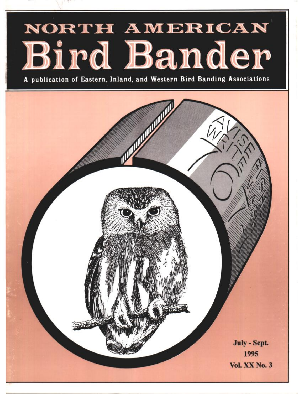# NORTH AMERICAN Bird Bander

**publication of Eastern. Inland, and Western Bird Banding Associations**